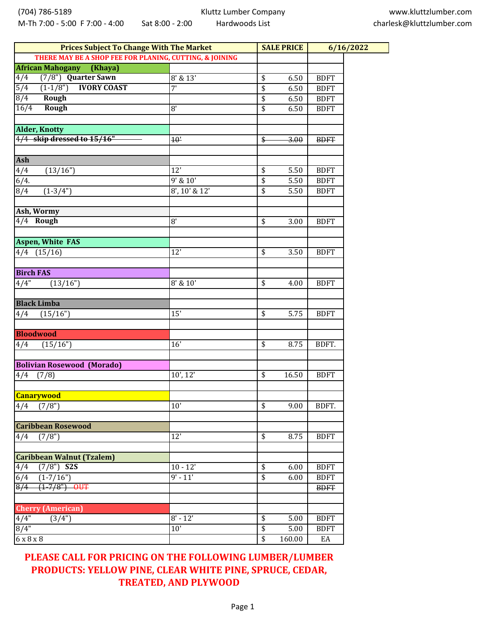| <b>Prices Subject To Change With The Market</b>         |                       |                 | <b>SALE PRICE</b> | 6/16/2022   |  |
|---------------------------------------------------------|-----------------------|-----------------|-------------------|-------------|--|
| THERE MAY BE A SHOP FEE FOR PLANING, CUTTING, & JOINING |                       |                 |                   |             |  |
| <b>African Mahogany</b><br>(Khaya)                      |                       |                 |                   |             |  |
| (7/8") Quarter Sawn<br>$\sqrt{4/4}$                     | $\overline{8'}$ & 13' | \$              | 6.50              | <b>BDFT</b> |  |
| <b>IVORY COAST</b><br>$\overline{5/4}$<br>$(1-1/8")$    | 7'                    | $\overline{\$}$ | 6.50              | <b>BDFT</b> |  |
| 8/4<br>Rough                                            |                       | $\overline{\$}$ | 6.50              | <b>BDFT</b> |  |
| 16/4<br>Rough                                           | 8'                    | \$              | 6.50              | <b>BDFT</b> |  |
|                                                         |                       |                 |                   |             |  |
| <b>Alder, Knotty</b>                                    |                       |                 |                   |             |  |
| 4/4 skip dressed to 15/16"                              | 10'                   | $\frac{1}{2}$   | 3.00              | <b>BDFT</b> |  |
|                                                         |                       |                 |                   |             |  |
| <b>Ash</b>                                              |                       |                 |                   |             |  |
| 4/4<br>(13/16")                                         | $\overline{12}$       | \$              | 5.50              | <b>BDFT</b> |  |
| 6/4.                                                    | $9'$ & $10'$          | $\overline{\$}$ | 5.50              | <b>BDFT</b> |  |
| $\sqrt{8/4}$<br>$(1-3/4")$                              | 8', 10' & 12'         | $\overline{\$}$ | 5.50              | <b>BDFT</b> |  |
|                                                         |                       |                 |                   |             |  |
| Ash, Wormy                                              |                       |                 |                   |             |  |
| 4/4 Rough                                               | $\overline{8}$        | \$              | 3.00              | <b>BDFT</b> |  |
|                                                         |                       |                 |                   |             |  |
| <b>Aspen, White FAS</b>                                 |                       |                 |                   |             |  |
| $4/4$ $(15/16)$                                         | 12'                   | \$              | 3.50              | <b>BDFT</b> |  |
|                                                         |                       |                 |                   |             |  |
| <b>Birch FAS</b>                                        |                       |                 |                   |             |  |
| 4/4"<br>(13/16")                                        | 8' & 10'              | \$              | 4.00              | <b>BDFT</b> |  |
|                                                         |                       |                 |                   |             |  |
| <b>Black Limba</b>                                      |                       |                 |                   |             |  |
| 4/4<br>(15/16")                                         | 15'                   | \$              | 5.75              | <b>BDFT</b> |  |
| <b>Bloodwood</b>                                        |                       |                 |                   |             |  |
| (15/16")<br>4/4                                         | $\overline{16'}$      | \$              | 8.75              | BDFT.       |  |
|                                                         |                       |                 |                   |             |  |
| <b>Bolivian Rosewood (Morado)</b>                       |                       |                 |                   |             |  |
| 4/4<br>(7/8)                                            | 10', 12'              | \$              | 16.50             | <b>BDFT</b> |  |
|                                                         |                       |                 |                   |             |  |
| <b>Canarywood</b>                                       |                       |                 |                   |             |  |
| (7/8")<br>4/4                                           | 10'                   | \$              | 9.00              | BDFT.       |  |
|                                                         |                       |                 |                   |             |  |
| <b>Caribbean Rosewood</b>                               |                       |                 |                   |             |  |
| (7/8")<br>4/4                                           | 12'                   | \$              | 8.75              | <b>BDFT</b> |  |
|                                                         |                       |                 |                   |             |  |
| <b>Caribbean Walnut (Tzalem)</b>                        |                       |                 |                   |             |  |
| $(7/8")$ S2S<br>4/4                                     | $10 - 12'$            | \$              | 6.00              | <b>BDFT</b> |  |
| 6/4<br>$(1 - 7/16")$                                    | $9' - 11'$            | \$              | 6.00              | <b>BDFT</b> |  |
| $\frac{8}{4}$<br>$(1 - 7/8")$ OUT                       |                       |                 |                   | <b>BDFT</b> |  |
|                                                         |                       |                 |                   |             |  |
| <b>Cherry (American)</b>                                |                       |                 |                   |             |  |
| 4/4"<br>(3/4")                                          | $8' - 12'$            | \$              | 5.00              | <b>BDFT</b> |  |
| 8/4"                                                    | 10'                   | $\overline{\$}$ | 5.00              | <b>BDFT</b> |  |
| 6 x 8 x 8                                               |                       | $\overline{\$}$ | 160.00            | EA          |  |

**PLEASE CALL FOR PRICING ON THE FOLLOWING LUMBER/LUMBER PRODUCTS: YELLOW PINE, CLEAR WHITE PINE, SPRUCE, CEDAR, TREATED, AND PLYWOOD**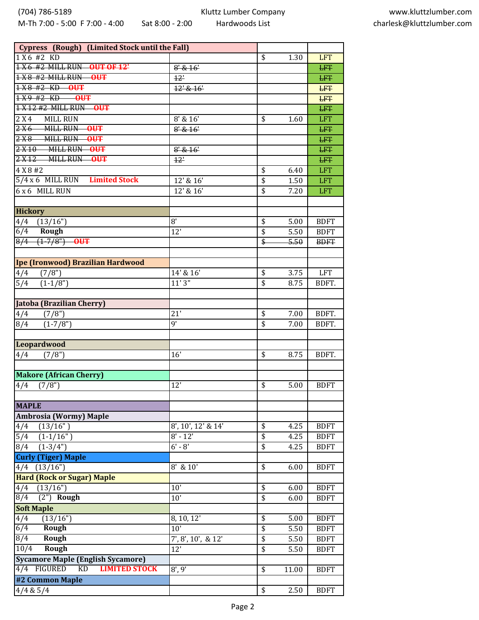Kluttz Lumber Company Hardwoods List

| Cypress (Rough) (Limited Stock until the Fall) |                        |                                      |       |             |
|------------------------------------------------|------------------------|--------------------------------------|-------|-------------|
| 1X6#2KD                                        |                        | \$                                   | 1.30  | <b>LFT</b>  |
| 1 X 6 #2 MILL RUN OUT OF 12'                   | $8'$ & $16'$           |                                      |       | <b>LFT</b>  |
| 1X8 #2 MILL RUN OUT                            | 12'                    |                                      |       | <b>LFT</b>  |
| 1 X 8 #2 KD OUT                                | 12' & 16'              |                                      |       | <b>LFT</b>  |
| $1X9H2KD$ OUT                                  |                        |                                      |       | <b>LFT</b>  |
| 1 X 12 #2 MILL RUN OUT                         |                        |                                      |       | <b>LFT</b>  |
| 2 X 4<br><b>MILL RUN</b>                       | $8'$ & $16'$           | \$                                   | 1.60  | <b>LFT</b>  |
| $2X6$ MILL RUN<br>$-00$                        | $8'$ & $16'$           |                                      |       | <b>LFT</b>  |
| 2X8 MILL RUN OUT                               |                        |                                      |       | <b>LFT</b>  |
| 2X10 MILL RUN OUT                              | $8'$ & $16'$           |                                      |       | <b>LFT</b>  |
| 2X12 MILL RUN OUT                              | 12'                    |                                      |       | <b>LFT</b>  |
| 4 X 8 #2                                       |                        | \$                                   | 6.40  | <b>LFT</b>  |
| 5/4 x 6 MILL RUN Limited Stock                 | 12' & 16'              | \$                                   | 1.50  | <b>LFT</b>  |
| 6 x 6 MILL RUN                                 | 12' & 16'              | $\overline{\$}$                      | 7.20  | <b>LFT</b>  |
|                                                |                        |                                      |       |             |
| <b>Hickory</b>                                 |                        |                                      |       |             |
| (13/16")                                       | 8'                     | \$                                   | 5.00  | <b>BDFT</b> |
| 4/4<br>6/4<br>Rough                            | 12'                    | \$                                   | 5.50  | <b>BDFT</b> |
| $(1-7/8")$<br>8/4<br>$\overline{\text{OPT}}$   |                        | $\overline{\ast}$                    | 5.50  |             |
|                                                |                        |                                      |       | <b>BDFT</b> |
| Ipe (Ironwood) Brazilian Hardwood              |                        |                                      |       |             |
|                                                |                        |                                      |       |             |
| (7/8")<br>4/4                                  | 14' & 16'<br>11'3''    | \$                                   | 3.75  | <b>LFT</b>  |
| $\overline{5/4}$<br>$(1-1/8")$                 |                        | \$                                   | 8.75  | BDFT.       |
|                                                |                        |                                      |       |             |
| Jatoba (Brazilian Cherry)                      |                        |                                      |       |             |
| 4/4<br>(7/8")                                  | 21'                    | \$                                   | 7.00  | BDFT.       |
| $(1-7/8")$<br>8/4                              | g'                     | $\overline{\$}$                      | 7.00  | BDFT.       |
|                                                |                        |                                      |       |             |
| Leopardwood                                    |                        |                                      |       |             |
| (7/8")<br>4/4                                  | 16'                    | \$                                   | 8.75  | BDFT.       |
|                                                |                        |                                      |       |             |
| <b>Makore (African Cherry)</b>                 |                        |                                      |       |             |
| 4/4<br>(7/8")                                  | 12'                    | \$                                   | 5.00  | <b>BDFT</b> |
|                                                |                        |                                      |       |             |
| <b>MAPLE</b>                                   |                        |                                      |       |             |
| Ambrosia (Wormy) Maple                         |                        |                                      |       |             |
| (13/16")<br>4/4                                | $8', 10', 12'$ & $14'$ | \$                                   | 4.25  | <b>BDFT</b> |
| 5/4<br>$(1-1/16")$                             | $\overline{8}$ ' - 12' | \$                                   | 4.25  | <b>BDFT</b> |
| $(1-3/4")$<br>8/4                              | $6' - 8'$              | \$                                   | 4.25  | <b>BDFT</b> |
| <b>Curly (Tiger) Maple</b>                     |                        |                                      |       |             |
| $4/4$ $(13/16")$                               | 8' & 10'               | \$                                   | 6.00  | <b>BDFT</b> |
| <b>Hard (Rock or Sugar) Maple</b>              |                        |                                      |       |             |
| (13/16")<br>4/4                                | 10'                    | \$                                   | 6.00  | <b>BDFT</b> |
| $(2")$ Rough<br>$\sqrt{8/4}$                   | 10'                    | \$                                   | 6.00  | <b>BDFT</b> |
| <b>Soft Maple</b>                              |                        |                                      |       |             |
| 4/4<br>(13/16")                                | 8, 10, 12'             | $\overline{\$}$                      | 5.00  | <b>BDFT</b> |
| $\overline{6/4}$<br><b>Rough</b>               | 10'                    | \$                                   | 5.50  | <b>BDFT</b> |
| 8/4<br>Rough                                   | 7', 8', 10', & 12'     | \$                                   | 5.50  | <b>BDFT</b> |
| 10/4<br>Rough                                  | 12'                    | \$                                   | 5.50  | <b>BDFT</b> |
| <b>Sycamore Maple (English Sycamore)</b>       |                        |                                      |       |             |
| 4/4 FIGURED<br><b>LIMITED STOCK</b><br>KD      | 8', 9'                 | \$                                   | 11.00 | <b>BDFT</b> |
| #2 Common Maple                                |                        |                                      |       |             |
| 4/4 & 5/4                                      |                        | $\overline{\boldsymbol{\mathsf{S}}}$ | 2.50  | <b>BDFT</b> |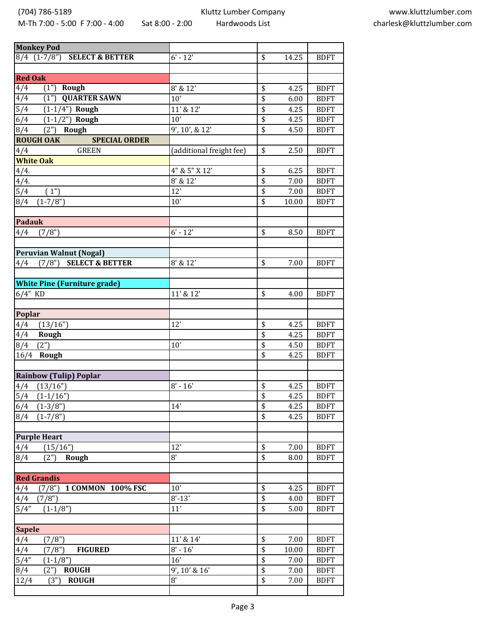(704) 786-5189

M-Th 7:00 - 5:00 F 7:00 - 4:00 Sat 8:00 - 2:00

Kluttz Lumber Company Hardwoods List

| <b>Monkey Pod</b>                          |                                           |                 |       |             |
|--------------------------------------------|-------------------------------------------|-----------------|-------|-------------|
| 8/4 (1-7/8") SELECT & BETTER               | $6' - 12'$                                | \$              | 14.25 | <b>BDFT</b> |
|                                            |                                           |                 |       |             |
| <b>Red Oak</b>                             |                                           |                 |       |             |
| $\sqrt{4/4}$<br>$(1")$ Rough               | 8' & 12'                                  | \$              | 4.25  | <b>BDFT</b> |
| 4/4<br><b>QUARTER SAWN</b><br>(1")         | 10'                                       | \$              | 6.00  | <b>BDFT</b> |
| 5/4<br>$(1 - 1/4")$ Rough                  | 11' & 12'                                 | $\overline{\$}$ | 4.25  | <b>BDFT</b> |
| 6/4<br>$\overline{(1-1/2")}$ Rough         | $10$ <sup><math>\overline{ }</math></sup> | $\overline{\$}$ | 4.25  | <b>BDFT</b> |
| 8/4<br>$(2")$ Rough                        | 9', 10', & 12'                            | \$              | 4.50  | <b>BDFT</b> |
| <b>ROUGH OAK</b><br><b>SPECIAL ORDER</b>   |                                           |                 |       |             |
| <b>GREEN</b><br>4/4                        | (additional freight fee)                  | \$              | 2.50  | <b>BDFT</b> |
| <b>White Oak</b>                           |                                           |                 |       |             |
| 4/4.                                       | 4" & 5" X 12'                             | \$              | 6.25  | <b>BDFT</b> |
| 4/4.                                       | $8'$ & $12'$                              | \$              | 7.00  | <b>BDFT</b> |
| 5/4<br>(1")                                | $\overline{12}$                           | $\overline{\$}$ | 7.00  | <b>BDFT</b> |
| 8/4<br>$(1 - 7/8")$                        | 10'                                       | \$              | 10.00 | <b>BDFT</b> |
|                                            |                                           |                 |       |             |
| <b>Padauk</b>                              |                                           |                 |       |             |
| (7/8")<br>4/4                              | $6' - 12'$                                | \$              | 8.50  | <b>BDFT</b> |
|                                            |                                           |                 |       |             |
| <b>Peruvian Walnut (Nogal)</b>             |                                           |                 |       |             |
| $\overline{(7/8")}$ SELECT & BETTER<br>4/4 | 8' & 12'                                  | \$              | 7.00  | <b>BDFT</b> |
|                                            |                                           |                 |       |             |
| <b>White Pine (Furniture grade)</b>        |                                           |                 |       |             |
| $6/4"$ KD                                  | 11' & 12'                                 | \$              | 4.00  | <b>BDFT</b> |
|                                            |                                           |                 |       |             |
| Poplar                                     |                                           |                 |       |             |
| (13/16")<br>4/4                            | 12'                                       | \$              | 4.25  | <b>BDFT</b> |
| 4/4<br>Rough                               |                                           | $\overline{\$}$ | 4.25  | <b>BDFT</b> |
| (2")<br>8/4                                | 10'                                       | $\overline{\$}$ | 4.50  | <b>BDFT</b> |
| 16/4 Rough                                 |                                           | \$              | 4.25  | <b>BDFT</b> |
|                                            |                                           |                 |       |             |
| <b>Rainbow (Tulip) Poplar</b>              |                                           |                 |       |             |
| $4/4$ $(13/16")$                           | $8' - 16'$                                | \$              | 4.25  | <b>BDFT</b> |
| $(1-1/16")$<br>5/4                         |                                           | \$              | 4.25  | <b>BDFT</b> |
| $(1-3/8")$<br>6/4                          | 14'                                       | $\overline{\$}$ | 4.25  | <b>BDFT</b> |
| 8/4<br>$(1 - 7/8")$                        |                                           | $\overline{\$}$ | 4.25  | <b>BDFT</b> |
|                                            |                                           |                 |       |             |
| <b>Purple Heart</b>                        |                                           |                 |       |             |
| 4/4<br>(15/16")                            | 12'                                       | \$              | 7.00  | <b>BDFT</b> |
| (2")<br>8/4<br>Rough                       | 8'                                        | \$              | 8.00  | <b>BDFT</b> |
|                                            |                                           |                 |       |             |
| <b>Red Grandis</b>                         |                                           |                 |       |             |
| (7/8")<br>1 COMMON 100% FSC<br>4/4         | 10'                                       | \$              | 4.25  | <b>BDFT</b> |
| (7/8")<br>4/4                              | $8' - 13'$                                | \$              | 4.00  | <b>BDFT</b> |
| $5/4$ <sup>"</sup><br>$(1-1/8")$           | 11'                                       | \$              | 5.00  | <b>BDFT</b> |
|                                            |                                           |                 |       |             |
| <b>Sapele</b>                              |                                           |                 |       |             |
| 4/4<br>(7/8")                              | 11' & 14'                                 | \$              | 7.00  | <b>BDFT</b> |
| 4/4<br>(7/8")<br><b>FIGURED</b>            | $8' - 16'$                                | \$              | 10.00 | <b>BDFT</b> |
| 5/4"<br>$(1-1/8")$                         | 16'                                       | \$              | 7.00  | <b>BDFT</b> |
| $(2^{n})$<br>8/4<br><b>ROUGH</b>           | 9', 10' & 16'                             | \$              | 7.00  | <b>BDFT</b> |
| (3")<br>12/4<br><b>ROUGH</b>               | $\overline{8}$                            | \$              | 7.00  | <b>BDFT</b> |
|                                            |                                           |                 |       |             |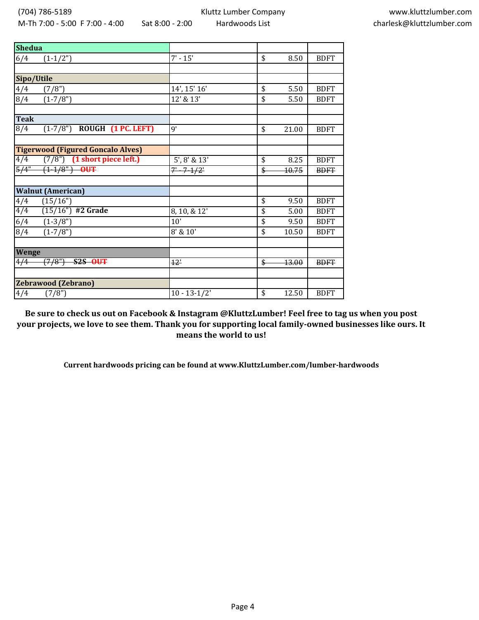| <b>Shedua</b>                            |                     |             |             |
|------------------------------------------|---------------------|-------------|-------------|
| 6/4<br>$(1-1/2")$                        | $7' - 15'$          | \$<br>8.50  | <b>BDFT</b> |
|                                          |                     |             |             |
| Sipo/Utile                               |                     |             |             |
| 4/4<br>(7/8")                            | 14', 15' 16'        | \$<br>5.50  | <b>BDFT</b> |
| 8/4<br>$(1 - 7/8")$                      | 12' & 13'           | \$<br>5.50  | <b>BDFT</b> |
|                                          |                     |             |             |
| <b>Teak</b>                              |                     |             |             |
| ROUGH (1 PC. LEFT)<br>8/4<br>$(1-7/8")$  | $\overline{9}$      | \$<br>21.00 | <b>BDFT</b> |
|                                          |                     |             |             |
| <b>Tigerwood (Figured Goncalo Alves)</b> |                     |             |             |
| $(7/8")$ (1 short piece left.)<br>4/4    | $5'$ , $8'$ & $13'$ | \$<br>8.25  | <b>BDFT</b> |
| $\frac{1}{5}{4}$<br>$(1-1/8)$ OUT        | $7 - 7 - 1/2$       | \$<br>10.75 | <b>BDFT</b> |
|                                          |                     |             |             |
| <b>Walnut (American)</b>                 |                     |             |             |
| 4/4<br>(15/16")                          |                     | \$<br>9.50  | <b>BDFT</b> |
| 4/4<br>$(15/16")$ #2 Grade               | 8, 10, & 12'        | \$<br>5.00  | <b>BDFT</b> |
| 6/4<br>$(1-3/8")$                        | 10'                 | \$<br>9.50  | <b>BDFT</b> |
| 8/4<br>$(1 - 7/8")$                      | 8' & 10'            | \$<br>10.50 | <b>BDFT</b> |
|                                          |                     |             |             |
| <b>Wenge</b>                             |                     |             |             |
| $4/\overline{4}$<br>(7/8")<br>$S2S$ OUT  | 12'                 | \$<br>43.00 | <b>BDFT</b> |
|                                          |                     |             |             |
| <b>Zebrawood (Zebrano)</b>               |                     |             |             |
| 4/4<br>(7/8")                            | $10 - 13 - 1/2'$    | \$<br>12.50 | <b>BDFT</b> |

**Be sure to check us out on Facebook & Instagram @KluttzLumber! Feel free to tag us when you post your projects, we love to see them. Thank you for supporting local family-owned businesses like ours. It means the world to us!**

**Current hardwoods pricing can be found at www.KluttzLumber.com/lumber-hardwoods**